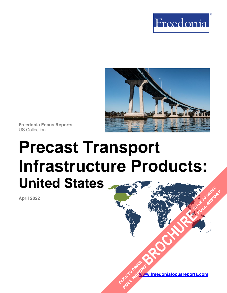



**Freedonia Focus Reports** US Collection

# **Precast Transport Infrastructure Products: United States [BROCHURE](https://www.freedoniafocusreports.com/Precast-Transport-Infrastructure-Products-United-States-FF60083/?progid=89541) CLICK TO ORDER** FULL REPORT

**April 2022**

**[www.freedoniafocusreports.com](https://www.freedoniafocusreports.com/redirect.asp?progid=89534&url=/)** CLICK TO ORDER **FULL REPORT**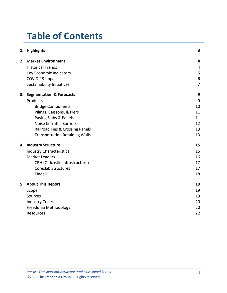# **Table of Contents**

|    | 1. Highlights                         | 3              |
|----|---------------------------------------|----------------|
|    | 2. Market Environment                 | 4              |
|    | <b>Historical Trends</b>              | 4              |
|    | Key Economic Indicators               | 5              |
|    | COVID-19 Impact                       | 6              |
|    | <b>Sustainability Initiatives</b>     | $\overline{7}$ |
| 3. | <b>Segmentation &amp; Forecasts</b>   | 9              |
|    | Products                              | 9              |
|    | <b>Bridge Components</b>              | 10             |
|    | Pilings, Caissons, & Piers            | 11             |
|    | Paving Slabs & Panels                 | 11             |
|    | <b>Noise &amp; Traffic Barriers</b>   | 12             |
|    | Railroad Ties & Crossing Panels       | 13             |
|    | <b>Transportation Retaining Walls</b> | 13             |
|    | 4. Industry Structure                 | 15             |
|    | <b>Industry Characteristics</b>       | 15             |
|    | <b>Market Leaders</b>                 | 16             |
|    | CRH (Oldcastle Infrastructure)        | 17             |
|    | <b>Coreslab Structures</b>            | 17             |
|    | Tindall                               | 18             |
|    | 5. About This Report                  | 19             |
|    | Scope                                 | 19             |
|    | Sources                               | 19             |
|    | <b>Industry Codes</b>                 | 20             |
|    | Freedonia Methodology                 | 20             |
|    | Resources                             | 22             |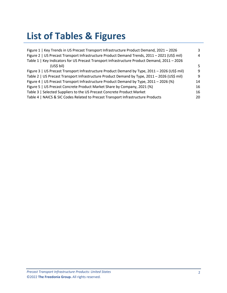# **List of Tables & Figures**

| Figure 1   Key Trends in US Precast Transport Infrastructure Product Demand, 2021 - 2026      | 3  |
|-----------------------------------------------------------------------------------------------|----|
| Figure 2   US Precast Transport Infrastructure Product Demand Trends, 2011 - 2021 (US\$ mil)  | 4  |
| Table 1   Key Indicators for US Precast Transport Infrastructure Product Demand, 2011 - 2026  |    |
| (US <sub>5</sub> bil)                                                                         | 5. |
| Figure 3   US Precast Transport Infrastructure Product Demand by Type, 2011 - 2026 (US\$ mil) | 9  |
| Table 2   US Precast Transport Infrastructure Product Demand by Type, 2011 - 2026 (US\$ mil)  | 9  |
| Figure 4   US Precast Transport Infrastructure Product Demand by Type, 2011 - 2026 (%)        | 14 |
| Figure 5   US Precast Concrete Product Market Share by Company, 2021 (%)                      | 16 |
| Table 3   Selected Suppliers to the US Precast Concrete Product Market                        | 16 |
| Table 4   NAICS & SIC Codes Related to Precast Transport Infrastructure Products              | 20 |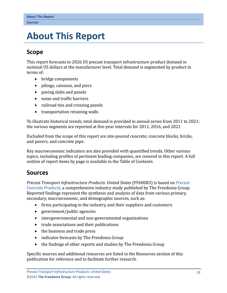## <span id="page-3-0"></span>**5. About This Report**

## <span id="page-3-1"></span>**Scope**

This report forecasts to 2026 US precast transport infrastructure product demand in nominal US dollars at the manufacturer level. Total demand is segmented by product in terms of:

- bridge components
- pilings, caissons, and piers
- paving slabs and panels
- noise and traffic barriers
- railroad ties and crossing panels
- transportation retaining walls

To illustrate historical trends, total demand is provided in annual series from 2011 to 2021; the various segments are reported at five-year intervals for 2011, 2016, and 2021

Excluded from the scope of this report are site-poured concrete; concrete blocks, bricks, and pavers; and concrete pipe.

Key macroeconomic indicators are also provided with quantified trends. Other various topics, including profiles of pertinent leading companies, are covered in this report. A full outline of report items by page is available in the Table of Contents.

## <span id="page-3-2"></span>**Sources**

*Precast Transport Infrastructure Products: United States* (FF60083) is based on *[Precast](http://www.freedoniagroup.com/DocumentDetails.aspx?ReferrerId=FL-FOCUS&studyid=4268)  [Concrete Products,](http://www.freedoniagroup.com/DocumentDetails.aspx?ReferrerId=FL-FOCUS&studyid=4268)* a comprehensive industry study published by The Freedonia Group. Reported findings represent the synthesis and analysis of data from various primary, secondary, macroeconomic, and demographic sources, such as:

- firms participating in the industry, and their suppliers and customers
- government/public agencies
- intergovernmental and non-governmental organizations
- trade associations and their publications
- the business and trade press
- indicator forecasts by The Freedonia Group
- the findings of other reports and studies by The Freedonia Group

Specific sources and additional resources are listed in the Resources section of this publication for reference and to facilitate further research.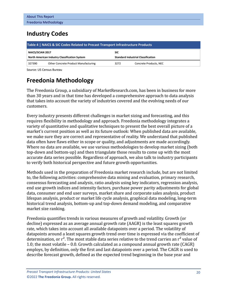## <span id="page-4-0"></span>**Industry Codes**

<span id="page-4-2"></span>

| Table 4   NAICS & SIC Codes Related to Precast Transport Infrastructure Products |                                      |                                           |                        |  |  |  |  |
|----------------------------------------------------------------------------------|--------------------------------------|-------------------------------------------|------------------------|--|--|--|--|
| NAICS/SCIAN 2017                                                                 |                                      | <b>SIC</b>                                |                        |  |  |  |  |
| North American Industry Classification System                                    |                                      | <b>Standard Industrial Classification</b> |                        |  |  |  |  |
| 327390                                                                           | Other Concrete Product Manufacturing | 3272                                      | Concrete Products, NEC |  |  |  |  |

Source: US Census Bureau

## <span id="page-4-1"></span>**Freedonia Methodology**

The Freedonia Group, a subsidiary of MarketResearch.com, has been in business for more than 30 years and in that time has developed a comprehensive approach to data analysis that takes into account the variety of industries covered and the evolving needs of our customers.

Every industry presents different challenges in market sizing and forecasting, and this requires flexibility in methodology and approach. Freedonia methodology integrates a variety of quantitative and qualitative techniques to present the best overall picture of a market's current position as well as its future outlook: When published data are available, we make sure they are correct and representative of reality. We understand that published data often have flaws either in scope or quality, and adjustments are made accordingly. Where no data are available, we use various methodologies to develop market sizing (both top-down and bottom-up) and then triangulate those results to come up with the most accurate data series possible. Regardless of approach, we also talk to industry participants to verify both historical perspective and future growth opportunities.

Methods used in the preparation of Freedonia market research include, but are not limited to, the following activities: comprehensive data mining and evaluation, primary research, consensus forecasting and analysis, ratio analysis using key indicators, regression analysis, end use growth indices and intensity factors, purchase power parity adjustments for global data, consumer and end user surveys, market share and corporate sales analysis, product lifespan analysis, product or market life cycle analysis, graphical data modeling, long-term historical trend analysis, bottom-up and top-down demand modeling, and comparative market size ranking.

Freedonia quantifies trends in various measures of growth and volatility. Growth (or decline) expressed as an average annual growth rate (AAGR) is the least squares growth rate, which takes into account all available datapoints over a period. The volatility of datapoints around a least squares growth trend over time is expressed via the coefficient of determination, or  $r^2$ . The most stable data series relative to the trend carries an  $r^2$  value of 1.0; the most volatile – 0.0. Growth calculated as a compound annual growth rate (CAGR) employs, by definition, only the first and last datapoints over a period. The CAGR is used to describe forecast growth, defined as the expected trend beginning in the base year and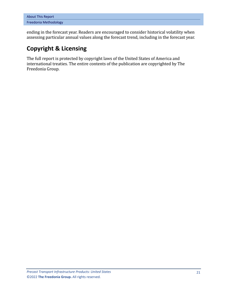| <b>About This Report</b>     |  |
|------------------------------|--|
| <b>Freedonia Methodology</b> |  |

ending in the forecast year. Readers are encouraged to consider historical volatility when assessing particular annual values along the forecast trend, including in the forecast year.

## **Copyright & Licensing**

The full report is protected by copyright laws of the United States of America and international treaties. The entire contents of the publication are copyrighted by The Freedonia Group.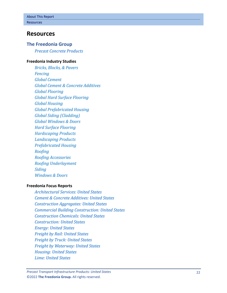## <span id="page-6-0"></span>**Resources**

### **The Freedonia Group**

*[Precast Concrete Products](http://www.freedoniagroup.com/DocumentDetails.aspx?ReferrerId=FL-FOCUS&studyid=4268)*

#### **[Freedonia Industry Studies](http://www.freedoniagroup.com/Home.aspx?ReferrerId=FL-Focus)**

*[Bricks, Blocks, & Pavers](https://www.freedoniagroup.com/DocumentDetails.aspx?ReferrerId=FL-FOCUS&StudyId=4141) [Fencing](https://www.freedoniagroup.com/DocumentDetails.aspx?ReferrerId=FL-FOCUS&StudyId=3824) [Global Cement](https://www.freedoniagroup.com/DocumentDetails.aspx?ReferrerId=FL-FOCUS&StudyId=4147) [Global Cement & Concrete Additives](https://www.freedoniagroup.com/DocumentDetails.aspx?ReferrerId=FL-FOCUS&StudyId=3748) [Global Flooring](https://www.freedoniagroup.com/DocumentDetails.aspx?ReferrerId=FL-FOCUS&StudyId=4042) [Global Hard Surface Flooring](https://www.freedoniagroup.com/DocumentDetails.aspx?ReferrerId=FL-FOCUS&StudyId=4156) [Global Housing](https://www.freedoniagroup.com/DocumentDetails.aspx?ReferrerId=FL-FOCUS&StudyId=4331) [Global Prefabricated Housing](https://www.freedoniagroup.com/DocumentDetails.aspx?ReferrerId=FL-FOCUS&StudyId=3971) [Global Siding \(Cladding\)](https://www.freedoniagroup.com/DocumentDetails.aspx?ReferrerId=FL-FOCUS&StudyId=3874) [Global Windows & Doors](https://www.freedoniagroup.com/DocumentDetails.aspx?ReferrerId=FL-FOCUS&StudyId=4303) [Hard Surface Flooring](https://www.freedoniagroup.com/DocumentDetails.aspx?ReferrerId=FL-FOCUS&StudyId=3989) [Hardscaping Products](https://www.freedoniagroup.com/DocumentDetails.aspx?ReferrerId=FL-FOCUS&StudyId=4259) [Landscaping Products](https://www.freedoniagroup.com/DocumentDetails.aspx?ReferrerId=FL-FOCUS&StudyId=4151) [Prefabricated Housing](https://www.freedoniagroup.com/DocumentDetails.aspx?ReferrerId=FL-FOCUS&StudyId=3814) [Roofing](https://www.freedoniagroup.com/DocumentDetails.aspx?ReferrerId=FL-FOCUS&StudyId=4216) [Roofing Accessories](https://www.freedoniagroup.com/DocumentDetails.aspx?ReferrerId=FL-FOCUS&StudyId=4291) [Roofing Underlayment](https://www.freedoniagroup.com/DocumentDetails.aspx?ReferrerId=FL-FOCUS&StudyId=4355) [Siding](https://www.freedoniagroup.com/DocumentDetails.aspx?ReferrerId=FL-FOCUS&StudyId=4152) [Windows & Doors](https://www.freedoniagroup.com/DocumentDetails.aspx?ReferrerId=FL-FOCUS&StudyId=3726)*

#### **[Freedonia Focus Reports](https://www.freedoniafocusreports.com/redirect.asp?progid=89534&url=/)**

*[Architectural Services: United States](https://www.freedoniafocusreports.com/Architectural-Services-United-States-FF95039/?progid=89534) [Cement & Concrete Additives: United States](https://www.freedoniafocusreports.com/Cement-Concrete-Additives-United-States-FF60050/?progid=89534) [Construction Aggregates: United States](https://www.freedoniafocusreports.com/Construction-Aggregates-United-States-FF60046/?progid=89534) [Commercial Building Construction: United States](https://www.freedoniafocusreports.com/Commercial-Building-Construction-United-States-FF60032/?progid=89534) [Construction Chemicals:](https://www.freedoniafocusreports.com/Construction-Chemicals-United-States-FF35053/?progid=89534) United States [Construction: United States](https://www.freedoniafocusreports.com/Construction-United-States-FF60054/?progid=89534) [Energy: United States](https://www.freedoniafocusreports.com/Energy-United-States-FF45043/?progid=89534) [Freight by Rail: United States](https://www.freedoniafocusreports.com/Freight-by-Rail-United-States-FF85019/?progid=89534) [Freight by Truck: United States](https://www.freedoniafocusreports.com/Freight-by-Truck-United-States-FF85026/?progid=89534) [Freight by Waterway: United States](https://www.freedoniafocusreports.com/Freight-by-Waterway-United-States-FF85027/?progid=89534) [Housing: United States](https://www.freedoniafocusreports.com/Housing-United-States-FF60024/?progid=89534) [Lime: United States](https://www.freedoniafocusreports.com/Lime-United-States-FF60030/?progid=89534)*